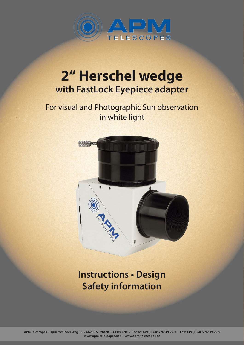

# **2" Herschel wedge with FastLock Eyepiece adapter**

## For visual and Photographic Sun observation in white light



**Instructions • Design Safety information**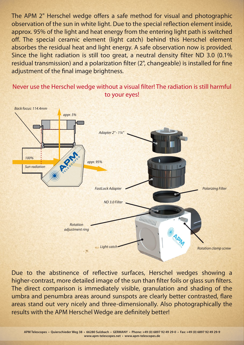The APM 2" Herschel wedge offers a safe method for visual and photographic observation of the sun in white light. Due to the special reflection element inside, approx. 95% of the light and heat energy from the entering light path is switched off. The special ceramic element (light catch) behind this Herschel element absorbes the residual heat and light energy. A safe observation now is provided. Since the light radiation is still too great, a neutral density filter ND 3.0 (0.1%) residual transmission) and a polarization filter (2", changeable) is installed for fine adjustment of the final image brightness.



Never use the Herschel wedge without a visual filter! The radiation is still harmful to your eyes!

Due to the abstinence of reflective surfaces, Herschel wedges showing a higher-contrast, more detailed image of the sun than filter foils or glass sun filters. The direct comparison is immediately visible, granulation and shading of the umbra and penumbra areas around sunspots are clearly better contrasted, flare areas stand out very nicely and three-dimensionally. Also photographically the results with the APM Herschel Wedge are definitely better!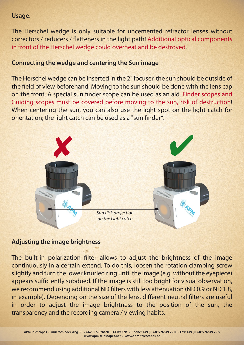#### **Usage**:

The Herschel wedge is only suitable for uncemented refractor lenses without correctors / reducers / flatteners in the light path! Additional optical components in front of the Herschel wedge could overheat and be destroyed.

### **Connecting the wedge and centering the Sun image**

The Herschel wedge can be inserted in the 2" focuser, the sun should be outside of the field of view beforehand. Moving to the sun should be done with the lens cap on the front. A special sun finder scope can be used as an aid. Finder scopes and Guiding scopes must be covered before moving to the sun, risk of destruction! When centering the sun, you can also use the light spot on the light catch for orientation; the light catch can be used as a "sun finder".



#### **Adjusting the image brightness**

The built-in polarization filter allows to adjust the brightness of the image continuously in a certain extend. To do this, loosen the rotation clamping screw slightly and turn the lower knurled ring until the image (e.g. without the eyepiece) appears sufficiently subdued. If the image is still too bright for visual observation, we recommend using additional ND filters with less attenuation (ND 0.9 or ND 1.8, in example). Depending on the size of the lens, different neutral filters are useful in order to adjust the image brightness to the position of the sun, the transparency and the recording camera / viewing habits.